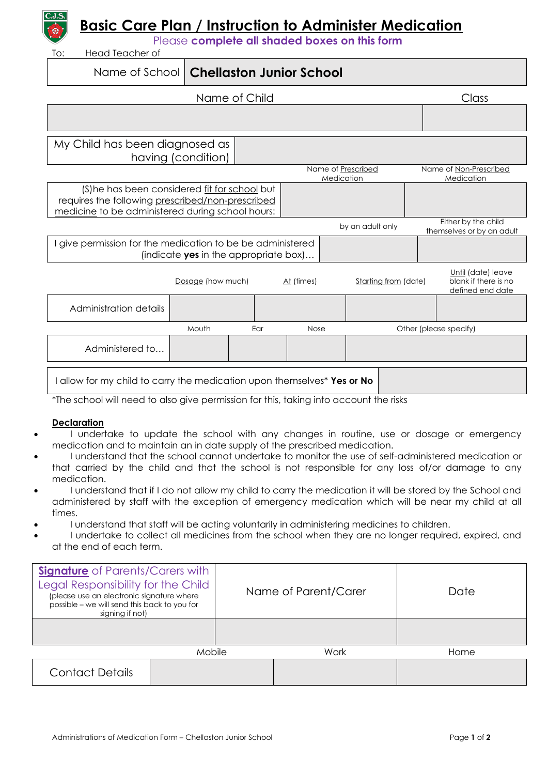

## **Basic Care Plan / Instruction to Administer Medication**

Please **complete all shaded boxes on this form**

Head Teacher of

## Name of School **Chellaston Junior School**

| Name of Child                                                                                                                                        |                    |     |            |                                  |                        | Class                                                          |
|------------------------------------------------------------------------------------------------------------------------------------------------------|--------------------|-----|------------|----------------------------------|------------------------|----------------------------------------------------------------|
|                                                                                                                                                      |                    |     |            |                                  |                        |                                                                |
| My Child has been diagnosed as                                                                                                                       | having (condition) |     |            |                                  |                        |                                                                |
|                                                                                                                                                      |                    |     |            | Name of Prescribed<br>Medication |                        | Name of Non-Prescribed<br>Medication                           |
| (S)he has been considered fit for school but<br>requires the following prescribed/non-prescribed<br>medicine to be administered during school hours: |                    |     |            |                                  |                        |                                                                |
|                                                                                                                                                      |                    |     |            | by an adult only                 |                        | Either by the child<br>themselves or by an adult               |
| give permission for the medication to be be administered<br>(indicate yes in the appropriate box)                                                    |                    |     |            |                                  |                        |                                                                |
|                                                                                                                                                      | Dosage (how much)  |     | At (times) |                                  | Starting from (date)   | Until (date) leave<br>blank if there is no<br>defined end date |
| Administration details                                                                                                                               |                    |     |            |                                  |                        |                                                                |
|                                                                                                                                                      | Mouth              | Ear | Nose       |                                  | Other (please specify) |                                                                |
| Administered to                                                                                                                                      |                    |     |            |                                  |                        |                                                                |
| I allow for my child to carry the medication upon themselves* Yes or No                                                                              |                    |     |            |                                  |                        |                                                                |

\*The school will need to also give permission for this, taking into account the risks

## **Declaration**

- I undertake to update the school with any changes in routine, use or dosage or emergency medication and to maintain an in date supply of the prescribed medication.
- I understand that the school cannot undertake to monitor the use of self-administered medication or that carried by the child and that the school is not responsible for any loss of/or damage to any medication.
- I understand that if I do not allow my child to carry the medication it will be stored by the School and administered by staff with the exception of emergency medication which will be near my child at all times.
- I understand that staff will be acting voluntarily in administering medicines to children.
- I undertake to collect all medicines from the school when they are no longer required, expired, and at the end of each term.

| <b>Signature</b> of Parents/Carers with<br>Legal Responsibility for the Child<br>(please use an electronic signature where<br>possible – we will send this back to you for<br>signing if not) |  |      | Name of Parent/Carer | Date |
|-----------------------------------------------------------------------------------------------------------------------------------------------------------------------------------------------|--|------|----------------------|------|
|                                                                                                                                                                                               |  |      |                      |      |
| Mobile                                                                                                                                                                                        |  | Work |                      | Home |
| <b>Contact Details</b>                                                                                                                                                                        |  |      |                      |      |